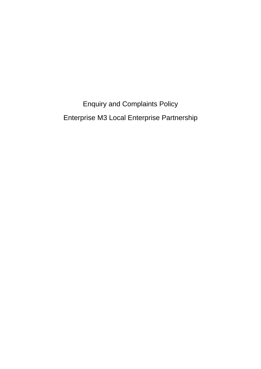Enquiry and Complaints Policy Enterprise M3 Local Enterprise Partnership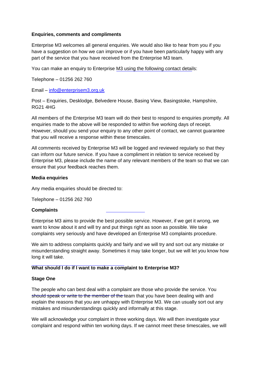#### **Enquiries, comments and compliments**

Enterprise M3 welcomes all general enquiries. We would also like to hear from you if you have a suggestion on how we can improve or if you have been particularly happy with any part of the service that you have received from the Enterprise M3 team.

You can make an enquiry to Enterprise M3 using the following contact details:

Telephone – 01256 262 760

Email – [info@enterprisem3.org.uk](mailto:info@enterprisem3.org.uk) 

Post – Enquiries, Desklodge, Belvedere House, Basing View, Basingstoke, Hampshire, RG21 4HG

All members of the Enterprise M3 team will do their best to respond to enquiries promptly. All enquiries made to the above will be responded to within five working days of receipt. However, should you send your enquiry to any other point of contact, we cannot guarantee that you will receive a response within these timescales.

All comments received by Enterprise M3 will be logged and reviewed regularly so that they can inform our future service. If you have a compliment in relation to service received by Enterprise M3, please include the name of any relevant members of the team so that we can ensure that your feedback reaches them.

#### **Media enquiries**

Any media enquiries should be directed to:

Telephone – 01256 262 760

### **Complaints**

Enterprise M3 aims to provide the best possible service. However, if we get it wrong, we want to know about it and will try and put things right as soon as possible. We take complaints very seriously and have developed an Enterprise M3 complaints procedure.

We aim to address complaints quickly and fairly and we will try and sort out any mistake or misunderstanding straight away. Sometimes it may take longer, but we will let you know how long it will take.

### **What should I do if I want to make a complaint to Enterprise M3?**

#### **Stage One**

The people who can best deal with a complaint are those who provide the service. You should speak or write to the member of the team that you have been dealing with and explain the reasons that you are unhappy with Enterprise M3. We can usually sort out any mistakes and misunderstandings quickly and informally at this stage.

We will acknowledge your complaint in three working days. We will then investigate your complaint and respond within ten working days. If we cannot meet these timescales, we will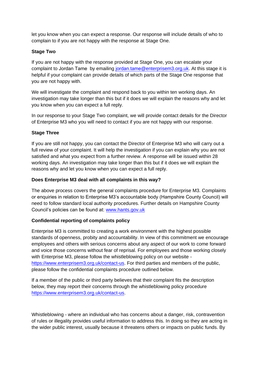let you know when you can expect a response. Our response will include details of who to complain to if you are not happy with the response at Stage One.

# **Stage Two**

If you are not happy with the response provided at Stage One, you can escalate your complaint to Jordan Tame by emailing jordan.tame[@enterprisem3.org.uk.](mailto:rachel.barker@enterprisem3.org.uk) At this stage it is helpful if your complaint can provide details of which parts of the Stage One response that you are not happy with.

We will investigate the complaint and respond back to you within ten working days. An investigation may take longer than this but if it does we will explain the reasons why and let you know when you can expect a full reply.

In our response to your Stage Two complaint, we will provide contact details for the Director of Enterprise M3 who you will need to contact if you are not happy with our response.

## **Stage Three**

If you are still not happy, you can contact the Director of Enterprise M3 who will carry out a full review of your complaint. It will help the investigation if you can explain why you are not satisfied and what you expect from a further review. A response will be issued within 28 working days. An investigation may take longer than this but if it does we will explain the reasons why and let you know when you can expect a full reply.

## **Does Enterprise M3 deal with all complaints in this way?**

The above process covers the general complaints procedure for Enterprise M3. Complaints or enquiries in relation to Enterprise M3's accountable body (Hampshire County Council) will need to follow standard local authority procedures. Further details on Hampshire County Council's policies can be found at: [www.hants.gov.uk](http://www.hants.gov.uk/)

# **Confidential reporting of complaints policy**

Enterprise M3 is committed to creating a work environment with the highest possible standards of openness, probity and accountability. In view of this commitment we encourage employees and others with serious concerns about any aspect of our work to come forward and voice those concerns without fear of reprisal. For employees and those working closely with Enterprise M3, please follow the whistleblowing policy on our website [https://www.enterprisem3.org.uk/contact-us.](https://www.enterprisem3.org.uk/contact-us) For third parties and members of the public, please follow the confidential complaints procedure outlined below.

If a member of the public or third party believes that their complaint fits the description below, they may report their concerns through the whistleblowing policy procedure [https://www.enterprisem3.org.uk/contact-us.](https://www.enterprisem3.org.uk/contact-us)

Whistleblowing - where an individual who has concerns about a danger, risk, contravention of rules or illegality provides useful information to address this. In doing so they are acting in the wider public interest, usually because it threatens others or impacts on public funds. By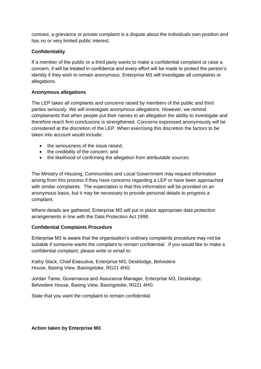contrast, a grievance or private complaint is a dispute about the individuals own position and has no or very limited public interest.

## **Confidentiality**

If a member of the public or a third party wants to make a confidential complaint or raise a concern, it will be treated in confidence and every effort will be made to protect the person's identity if they wish to remain anonymous. Enterprise M3 will investigate all complaints or allegations.

## **Anonymous allegations**

The LEP takes all complaints and concerns raised by members of the public and third parties seriously. We will investigate anonymous allegations. However, we remind complainants that when people put their names to an allegation the ability to investigate and therefore reach firm conclusions is strengthened. Concerns expressed anonymously will be considered at the discretion of the LEP. When exercising this discretion the factors to be taken into account would include:

- the seriousness of the issue raised;
- the credibility of the concern; and
- the likelihood of confirming the allegation from attributable sources.

The Ministry of Housing, Communities and Local Government may request information arising from this process if they have concerns regarding a LEP or have been approached with similar complaints. The expectation is that this information will be provided on an anonymous basis, but it may be necessary to provide personal details to progress a complaint.

Where details are gathered, Enterprise M3 will put in place appropriate data protection arrangements in line with the Data Protection Act 1998.

### **Confidential Complaints Procedure**

Enterprise M3 is aware that the organisation's ordinary complaints procedure may not be suitable if someone wants the complaint to remain confidential. If you would like to make a confidential complaint, please write or email to:

Kathy Slack, Chief Executive, Enterprise M3, Desklodge, Belvedere House, Basing View, Basingstoke, RG21 4HG

Jordan Tame, Governance and Assurance Manager, Enterprise M3, Desklodge, Belvedere House, Basing View, Basingstoke, RG21 4HG

State that you want the complaint to remain confidential.

**Action taken by Enterprise M3**